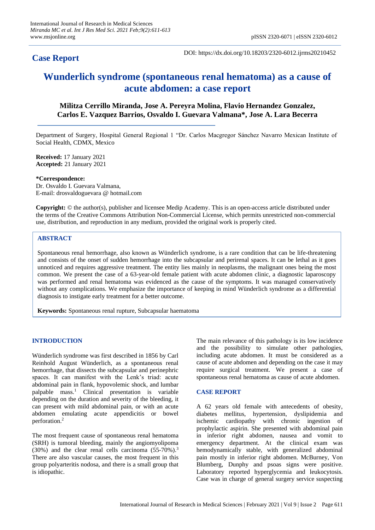## **Case Report**

DOI: https://dx.doi.org/10.18203/2320-6012.ijrms20210452

# **Wunderlich syndrome (spontaneous renal hematoma) as a cause of acute abdomen: a case report**

### **Militza Cerrillo Miranda, Jose A. Pereyra Molina, Flavio Hernandez Gonzalez, Carlos E. Vazquez Barrios, Osvaldo I. Guevara Valmana\*, Jose A. Lara Becerra**

Department of Surgery, Hospital General Regional 1 "Dr. Carlos Macgregor Sánchez Navarro Mexican Institute of Social Health, CDMX, Mexico

**Received:** 17 January 2021 **Accepted:** 21 January 2021

**\*Correspondence:**

Dr. Osvaldo I. Guevara Valmana, E-mail: drosvaldoguevara @ hotmail.com

**Copyright:** © the author(s), publisher and licensee Medip Academy. This is an open-access article distributed under the terms of the Creative Commons Attribution Non-Commercial License, which permits unrestricted non-commercial use, distribution, and reproduction in any medium, provided the original work is properly cited.

#### **ABSTRACT**

Spontaneous renal hemorrhage, also known as Wünderlich syndrome, is a rare condition that can be life-threatening and consists of the onset of sudden hemorrhage into the subcapsular and perirenal spaces. It can be lethal as it goes unnoticed and requires aggressive treatment. The entity lies mainly in neoplasms, the malignant ones being the most common. We present the case of a 63-year-old female patient with acute abdomen clinic, a diagnostic laparoscopy was performed and renal hematoma was evidenced as the cause of the symptoms. It was managed conservatively without any complications. We emphasize the importance of keeping in mind Wünderlich syndrome as a differential diagnosis to instigate early treatment for a better outcome.

**Keywords:** Spontaneous renal rupture, Subcapsular haematoma

#### **INTRODUCTION**

Wünderlich syndrome was first described in 1856 by Carl Reinhold August Wünderlich, as a spontaneous renal hemorrhage, that dissects the subcapsular and perinephric spaces. It can manifest with the Lenk's triad: acute abdominal pain in flank, hypovolemic shock, and lumbar palpable mass.<sup>1</sup> Clinical presentation is variable depending on the duration and severity of the bleeding, it can present with mild abdominal pain, or with an acute abdomen emulating acute appendicitis or bowel perforation.<sup>2</sup>

The most frequent cause of spontaneous renal hematoma (SRH) is tumoral bleeding, mainly the angiomyolipoma (30%) and the clear renal cells carcinoma (55-70%).<sup>3</sup> There are also vascular causes, the most frequent in this group polyarteritis nodosa, and there is a small group that is idiopathic.

The main relevance of this pathology is its low incidence and the possibility to simulate other pathologies, including acute abdomen. It must be considered as a cause of acute abdomen and depending on the case it may require surgical treatment. We present a case of spontaneous renal hematoma as cause of acute abdomen.

#### **CASE REPORT**

A 62 years old female with antecedents of obesity, diabetes mellitus, hypertension, dyslipidemia and ischemic cardiopathy with chronic ingestion of prophylactic aspirin. She presented with abdominal pain in inferior right abdomen, nausea and vomit to emergency department. At the clinical exam was hemodynamically stable, with generalized abdominal pain mostly in inferior right abdomen. McBurney, Von Blumberg, Dunphy and psoas signs were positive. Laboratory reported hyperglycemia and leukocytosis. Case was in charge of general surgery service suspecting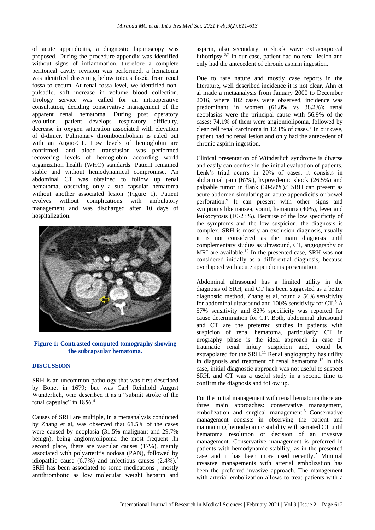of acute appendicitis, a diagnostic laparoscopy was proposed. During the procedure appendix was identified without signs of inflammation, therefore a complete peritoneal cavity revision was performed, a hematoma was identified dissecting below toldt's fascia from renal fossa to cecum. At renal fossa level, we identified nonpulsatile, soft increase in volume blood collection. Urology service was called for an intraoperative consultation, deciding conservative management of the apparent renal hematoma. During post operatory evolution, patient develops respiratory difficulty, decrease in oxygen saturation associated with elevation of d-dimer. Pulmonary thromboembolism is ruled out with an Angio-CT. Low levels of hemoglobin are confirmed, and blood transfusion was performed recovering levels of hemoglobin according world organization health (WHO) standards. Patient remained stable and without hemodynamical compromise. An abdominal CT was obtained to follow up renal hematoma, observing only a sub capsular hematoma without another associated lesion (Figure 1). Patient evolves without complications with ambulatory management and was discharged after 10 days of hospitalization.



**Figure 1: Contrasted computed tomography showing the subcapsular hematoma.**

#### **DISCUSSION**

SRH is an uncommon pathology that was first described by Bonet in 1679; but was Carl Reinhold August Wünderlich, who described it as a "submit stroke of the renal capsulae" in 1856.<sup>4</sup>

Causes of SRH are multiple, in a metaanalysis conducted by Zhang et al, was observed that 61.5% of the cases were caused by neoplasia (31.5% malignant and 29.7% benign), being angiomyolipoma the most frequent .In second place, there are vascular causes (17%), mainly associated with polyarteritis nodosa (PAN), followed by idiopathic cause  $(6.7\%)$  and infectious causes  $(2.4\%)$ .<sup>5</sup> SRH has been associated to some medications , mostly antithrombotic as low molecular weight heparin and aspirin, also secondary to shock wave extracorporeal lithotripsy.<sup>6,7</sup> In our case, patient had no renal lesion and only had the antecedent of chronic aspirin ingestion.

Due to rare nature and mostly case reports in the literature, well described incidence it is not clear, Ahn et al made a metaanalysis from January 2000 to December 2016, where 102 cases were observed, incidence was predominant in women (61.8% vs 38.2%); renal neoplasias were the principal cause with 56.9% of the cases; 74.1% of them were angiomiolipoma, followed by clear cell renal carcinoma in  $12.1\%$  of cases.<sup>3</sup> In our case, patient had no renal lesion and only had the antecedent of chronic aspirin ingestion.

Clinical presentation of Wünderlich syndrome is diverse and easily can confuse in the initial evaluation of patients. Lenk's triad ocurrs in 20% of cases, it consists in abdominal pain (67%), hypovolemic shock (26.5%) and palpable tumor in flank  $(30-50%)$ .<sup>8</sup> SRH can present as acute abdomen simulating an acute appendicitis or bowel perforation.<sup>9</sup> It can present with other signs and symptoms like nausea, vomit, hematuria (40%), fever and leukocytosis (10-23%). Because of the low specificity of the symptoms and the low suspicion, the diagnosis is complex. SRH is mostly an exclusion diagnosis, usually it is not considered as the main diagnosis until complementary studies as ultrasound, CT, angiography or MRI are available.<sup>10</sup> In the presented case, SRH was not considered initially as a differential diagnosis, because overlapped with acute appendicitis presentation.

Abdominal ultrasound has a limited utility in the diagnosis of SRH, and CT has been suggested as a better diagnostic method. Zhang et al, found a 56% sensitivity for abdominal ultrasound and 100% sensitivity for CT.<sup>5</sup> A 57% sensitivity and 82% specificity was reported for cause determination for CT. Both, abdominal ultrasound and CT are the preferred studies in patients with suspicion of renal hematoma, particularly; CT in urography phase is the ideal approach in case of traumatic renal injury suspicion and, could be extrapolated for the SRH.<sup>11</sup> Renal angiography has utility in diagnosis and treatment of renal hematoma.<sup>12</sup> In this case, initial diagnostic approach was not useful to suspect SRH, and CT was a useful study in a second time to confirm the diagnosis and follow up.

For the initial management with renal hematoma there are three main approaches: conservative management, embolization and surgical management.<sup>3</sup> Conservative management consists in observing the patient and maintaining hemodynamic stability with seriated CT until hematoma resolution or decision of an invasive management. Conservative management is preferred in patients with hemodynamic stability, as in the presented case and it has been more used recently.<sup>2</sup> Minimal invasive managements with arterial embolization has been the preferred invasive approach. The management with arterial embolization allows to treat patients with a